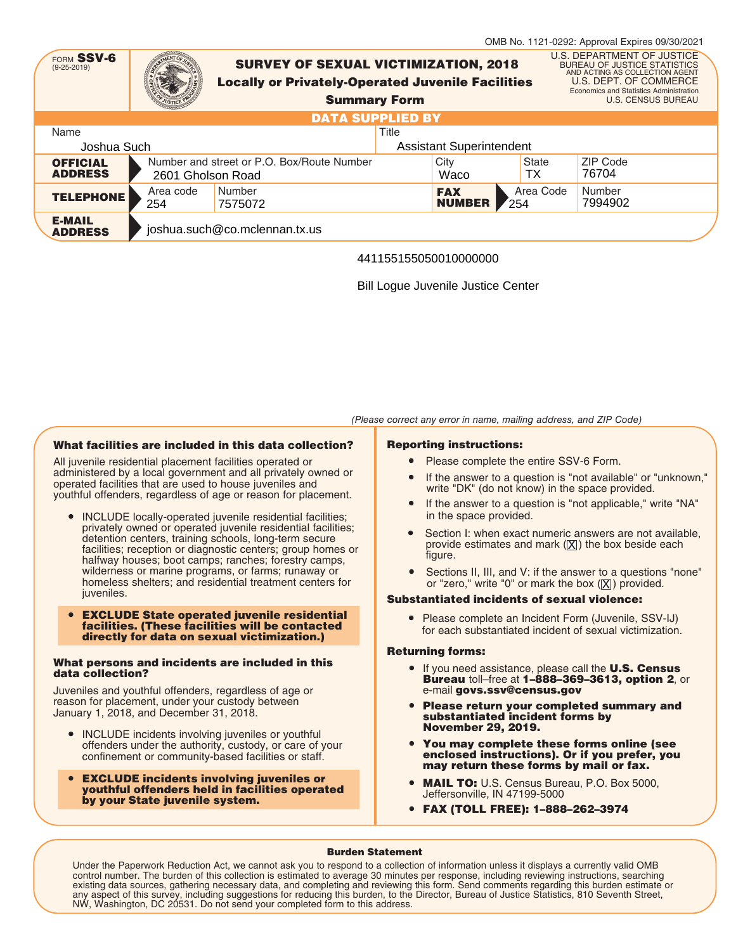|                                                |                   |                                                                                                         |                         |       |                             |                              | OMB No. 1121-0292: Approval Expires 09/30/2021                                                                                                                                                        |  |
|------------------------------------------------|-------------------|---------------------------------------------------------------------------------------------------------|-------------------------|-------|-----------------------------|------------------------------|-------------------------------------------------------------------------------------------------------------------------------------------------------------------------------------------------------|--|
| FORM SSV-6<br>$(9 - 25 - 2019)$                |                   | <b>SURVEY OF SEXUAL VICTIMIZATION, 2018</b><br><b>Locally or Privately-Operated Juvenile Facilities</b> | <b>Summary Form</b>     |       |                             |                              | U.S. DEPARTMENT OF JUSTICE<br><b>BUREAU OF JUSTICE STATISTICS</b><br>AND ACTING AS COLLECTION AGENT<br>U.S. DEPT. OF COMMERCE<br>Economics and Statistics Administration<br><b>U.S. CENSUS BUREAU</b> |  |
|                                                |                   |                                                                                                         | <b>DATA SUPPLIED BY</b> |       |                             |                              |                                                                                                                                                                                                       |  |
| Name                                           |                   |                                                                                                         |                         | Title |                             |                              |                                                                                                                                                                                                       |  |
| <b>Assistant Superintendent</b><br>Joshua Such |                   |                                                                                                         |                         |       |                             |                              |                                                                                                                                                                                                       |  |
| <b>OFFICIAL</b><br><b>ADDRESS</b>              | 2601 Gholson Road | Number and street or P.O. Box/Route Number                                                              |                         |       | City<br>Waco                | State<br>ТX                  | ZIP Code<br>76704                                                                                                                                                                                     |  |
| <b>TELEPHONE</b>                               | Area code<br>254  | Number<br>7575072                                                                                       |                         |       | <b>FAX</b><br><b>NUMBER</b> | Area Code<br>$\frac{254}{ }$ | Number<br>7994902                                                                                                                                                                                     |  |
| <b>E-MAIL</b><br><b>ADDRESS</b>                |                   | joshua.such@co.mclennan.tx.us                                                                           |                         |       |                             |                              |                                                                                                                                                                                                       |  |

# 441155155050010000000

Bill Logue Juvenile Justice Center

# What facilities are included in this data collection?

All juvenile residential placement facilities operated or administered by a local government and all privately owned or operated facilities that are used to house juveniles and youthful offenders, regardless of age or reason for placement.

- INCLUDE locally-operated juvenile residential facilities; privately owned or operated juvenile residential facilities; detention centers, training schools, long-term secure facilities; reception or diagnostic centers; group homes or halfway houses; boot camps; ranches; forestry camps, wilderness or marine programs, or farms; runaway or homeless shelters; and residential treatment centers for juveniles.
- EXCLUDE State operated juvenile residential facilities. (These facilities will be contacted directly for data on sexual victimization.)

#### What persons and incidents are included in this data collection?

Juveniles and youthful offenders, regardless of age or reason for placement, under your custody between January 1, 2018, and December 31, 2018.

- INCLUDE incidents involving juveniles or youthful offenders under the authority, custody, or care of your confinement or community-based facilities or staff.
- EXCLUDE incidents involving juveniles or youthful offenders held in facilities operated by your State juvenile system.

## Reporting instructions:

● Please complete the entire SSV-6 Form.

(Please correct any error in name, mailing address, and ZIP Code)

- If the answer to a question is "not available" or "unknown," write "DK" (do not know) in the space provided.
- If the answer to a question is "not applicable," write "NA" in the space provided.
- Section I: when exact numeric answers are not available, provide estimates and mark ( $[{\bf \large \underline X}]$ ) the box beside each figure.
- Sections II, III, and V: if the answer to a questions "none" or "zero," write "0" or mark the box  $(\underline{\mathsf{X}})$  provided.

## Substantiated incidents of sexual violence:

● Please complete an Incident Form (Juvenile, SSV-IJ) for each substantiated incident of sexual victimization.

#### Returning forms:

- If you need assistance, please call the **U.S. Census** Bureau toll–free at 1–888–369–3613, option 2, or e-mail govs.ssv@census.gov
- Please return your completed summary and substantiated incident forms by November 29, 2019.
- You may complete these forms online (see enclosed instructions). Or if you prefer, you may return these forms by mail or fax.
- MAIL TO: U.S. Census Bureau, P.O. Box 5000, Jeffersonville, IN 47199-5000
- FAX (TOLL FREE): 1–888–262–3974

#### Burden Statement

Under the Paperwork Reduction Act, we cannot ask you to respond to a collection of information unless it displays a currently valid OMB control number. The burden of this collection is estimated to average 30 minutes per response, including reviewing instructions, searching<br>existing data sources, gathering necessary data, and completing and reviewing this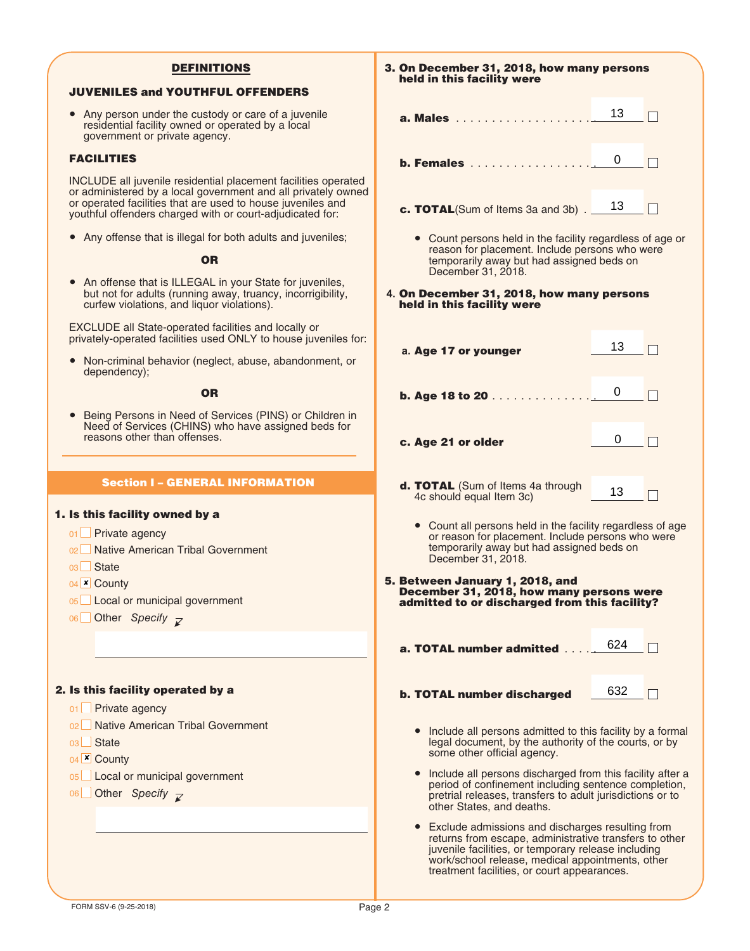## DEFINITIONS

## JUVENILES and YOUTHFUL OFFENDERS

• Any person under the custody or care of a juvenile residential facility owned or operated by a local government or private agency.

### FACILITIES

INCLUDE all juvenile residential placement facilities operated or administered by a local government and all privately owned or operated facilities that are used to house juveniles and youthful offenders charged with or court-adjudicated for:

● Any offense that is illegal for both adults and juveniles;

## **OR**

● An offense that is ILLEGAL in your State for juveniles, but not for adults (running away, truancy, incorrigibility, curfew violations, and liquor violations).

EXCLUDE all State-operated facilities and locally or privately-operated facilities used ONLY to house juveniles for:

● Non-criminal behavior (neglect, abuse, abandonment, or dependency);

**OR** 

Being Persons in Need of Services (PINS) or Children in Need of Services (CHINS) who have assigned beds for reasons other than offenses.

## Section I – GENERAL INFORMATION

#### 1. Is this facility owned by a

01 **□ Private agency** 

- 02 Native American Tribal Government
- 03∟ State
- 04 County ✘
- 05 Local or municipal government
- 06 Other *Specify*

#### 2. Is this facility operated by a

- 01 **□ Private agency**
- 02 Native American Tribal Government
- 03∟ State
- 04<sup>**<u>×</u>** County</sup>
- 05∟ Local or municipal government
- 06 Other Specify

3. On December 31, 2018, how many persons held in this facility were  $\begin{array}{c} 13 \\ 0 \end{array}$  $\Box$ a. Males . . . . . . . . . . . . . . . . . . . . b. Females . . . . . . . . . . . . . . . . . .  $\Box$ **c. TOTAL**(Sum of Items 3a and 3b)  $\frac{13}{\Box}$  $\begin{array}{r} \n 13 \\
\hline\n \text{rdl} \\
\text{is w} \\
\text{eds} \\
\text{er:} \\
13 \\
\hline\n 0\n \end{array}$ ● Count persons held in the facility regardless of age or reason for placement. Include persons who were temporarily away but had assigned beds on December 31, 2018. **4.** On December 31, 2018, how many persons held in this facility were  $13$ **a.** Age 17 or younger  $\Box$  $\overline{0}$ **b. Age 18 to 20** . . . . . . . . . . . . .  $\Box$  $\overline{0}$  $\Box$ c. Age 21 or older d. TOTAL (Sum of Items 4a through 13  $\Box$ 4c should equal Item 3c) • Count all persons held in the facility regardless of age or reason for placement. Include persons who were temporarily away but had assigned beds on December 31, 2018. 5. Between January 1, 2018, and December 31, 2018, how many persons were admitted to or discharged from this facility? a. TOTAL number admitted  $\ldots$  . . . . . . 624  $\,$ 632 $\Box$ b. TOTAL number discharged ● Include all persons admitted to this facility by a formal legal document, by the authority of the courts, or by some other official agency. ● Include all persons discharged from this facility after a period of confinement including sentence completion, pretrial releases, transfers to adult jurisdictions or to other States, and deaths.

● Exclude admissions and discharges resulting from returns from escape, administrative transfers to other juvenile facilities, or temporary release including work/school release, medical appointments, other treatment facilities, or court appearances.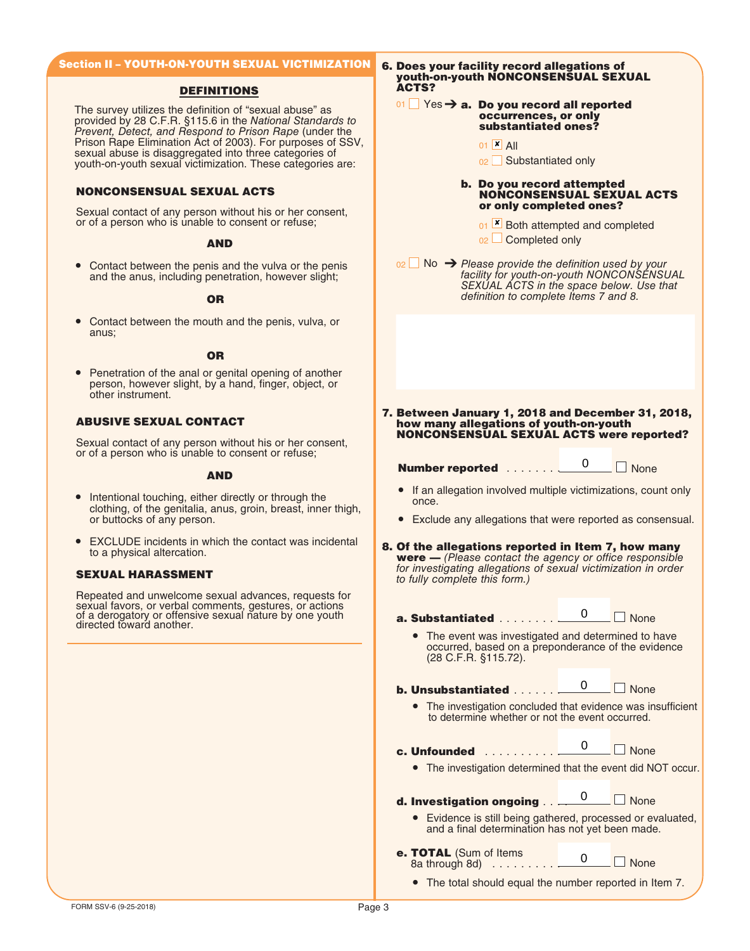# Section II – YOUTH-ON-YOUTH SEXUAL VICTIMIZATION

## DEFINITIONS

The survey utilizes the definition of "sexual abuse" as provided by 28 C.F.R. §115.6 in the National Standards to Prevent, Detect, and Respond to Prison Rape (under the Prison Rape Elimination Act of 2003). For purposes of SSV, sexual abuse is disaggregated into three categories of youth-on-youth sexual victimization. These categories are:

## NONCONSENSUAL SEXUAL ACTS

Sexual contact of any person without his or her consent, or of a person who is unable to consent or refuse;

#### AND

• Contact between the penis and the vulva or the penis and the anus, including penetration, however slight;

#### OR

Contact between the mouth and the penis, vulva, or anus;

#### **OR**

● Penetration of the anal or genital opening of another person, however slight, by a hand, finger, object, or other instrument.

# ABUSIVE SEXUAL CONTACT

Sexual contact of any person without his or her consent, or of a person who is unable to consent or refuse;

#### AND

- Intentional touching, either directly or through the clothing, of the genitalia, anus, groin, breast, inner thigh, or buttocks of any person.
- EXCLUDE incidents in which the contact was incidental to a physical altercation.

Repeated and unwelcome sexual advances, requests for sexual favors, or verbal comments, gestures, or actions of a derogatory or offensive sexual nature by one youth directed toward another.

6. Does your facility record allegations of youth-on-youth NONCONSENSUAL SEXUAL ACTS?

#### 01  $\Box$  Yes  $\rightarrow$  a. Do you record all reported occurrences, or only substantiated ones?

- 01 <u>×</u> All
- 02 Substantiated only

#### b. Do you record attempted NONCONSENSUAL SEXUAL ACTS or only completed ones?

- 01 L Both attempted and completed
- $_{02}$   $\Box$  Completed only

 $_{02}$  No  $\rightarrow$  Please provide the definition used by your facility for youth-on-youth NONCONSENSUAL SEXUAL ACTS in the space below. Use that definition to complete Items 7 and 8.

7. Between January 1, 2018 and December 31, 2018, how many allegations of youth-on-youth NONCONSENSUAL SEXUAL ACTS were reported?

Number reported . . . . . . . <u>0</u> □ None

 $\mathbf{0}$ 

- If an allegation involved multiple victimizations, count only once.
- Exclude any allegations that were reported as consensual.

#### EXOLODE incluents in which the contact was incluented **8. Of the allegations reported in Item 7, how many**<br>to a physical altercation. **were**  $-$  (Please contact the agency or office responsible for investigating allegations of sexual victimization in order **SEXUAL HARASSMENT** SEXUAL **HARASSMENT** to fully complete this form.)

a. Substantiated . . . . . . . . **None** 0

• The event was investigated and determined to have occurred, based on a preponderance of the evidence (28 C.F.R. §115.72).

b. Unsubstantiated . . . . . .

● The investigation concluded that evidence was insufficient to determine whether or not the event occurred.

 $\overline{0}$ 

 $\overline{0}$ 

- c. Unfounded . . . . . . . . . . .
	- The investigation determined that the event did NOT occur.

 $\Box$  None

**None** 

d. Investigation ongoing . . ... None 0

- Evidence is still being gathered, processed or evaluated, and a final determination has not yet been made.
- e. TOTAL (Sum of Items 8a through 8d) . . . . . . . . . .  $\Box$  None 0

● The total should equal the number reported in Item 7.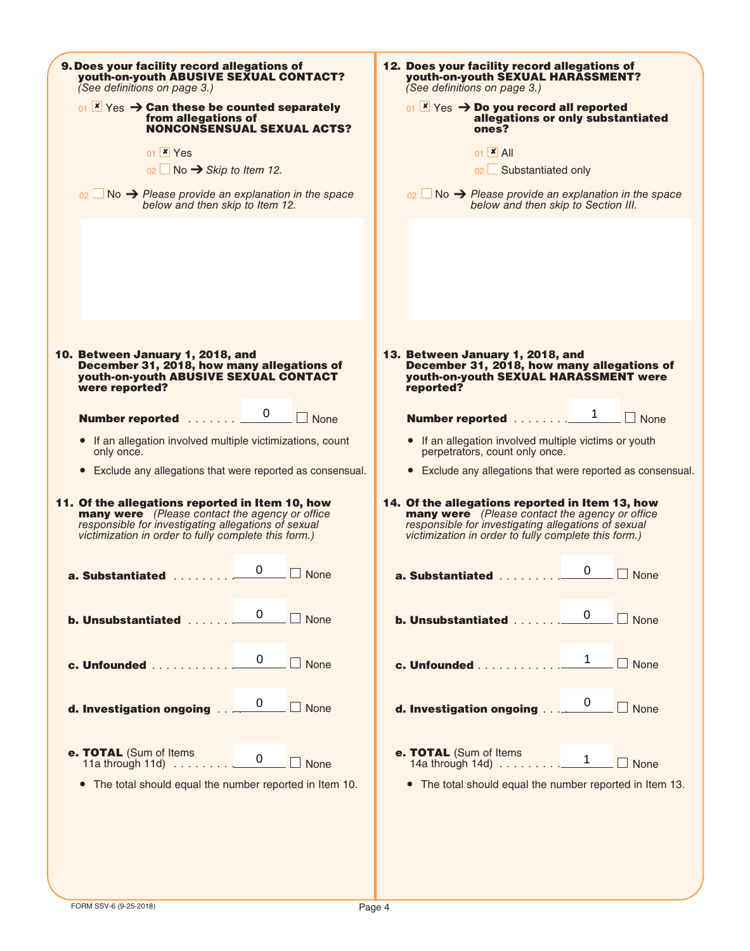| 9. Does your facility record allegations of<br>youth-on-youth ABUSIVE SEXUAL CONTACT?<br>(See definitions on page 3.)                                                                                                   | 12. Does your facility record allegations of<br>youth-on-youth SEXUAL HARASSMENT?<br>(See definitions on page 3.)                                                                                                                                                                                                                                                                                   |  |  |
|-------------------------------------------------------------------------------------------------------------------------------------------------------------------------------------------------------------------------|-----------------------------------------------------------------------------------------------------------------------------------------------------------------------------------------------------------------------------------------------------------------------------------------------------------------------------------------------------------------------------------------------------|--|--|
| $_{01}$ $\times$ Yes $\rightarrow$ Can these be counted separately<br>from allegations of<br><b>NONCONSENSUAL SEXUAL ACTS?</b><br>01 × Yes                                                                              | $_{01}$ $\times$ Yes $\rightarrow$ Do you record all reported<br>allegations or only substantiated<br>ones?<br>$01$ $\times$ All                                                                                                                                                                                                                                                                    |  |  |
| $02 \Box$ No $\rightarrow$ Skip to Item 12.                                                                                                                                                                             | 02 Substantiated only                                                                                                                                                                                                                                                                                                                                                                               |  |  |
| $_{02}$ No $\rightarrow$ Please provide an explanation in the space<br>below and then skip to Item 12.                                                                                                                  | $_{02}$ No $\rightarrow$ Please provide an explanation in the space<br>below and then skip to Section III.                                                                                                                                                                                                                                                                                          |  |  |
|                                                                                                                                                                                                                         |                                                                                                                                                                                                                                                                                                                                                                                                     |  |  |
|                                                                                                                                                                                                                         |                                                                                                                                                                                                                                                                                                                                                                                                     |  |  |
| 10. Between January 1, 2018, and<br>December 31, 2018, how many allegations of<br>youth-on-youth ABUSIVE SEXUAL CONTACT<br>were reported?                                                                               | 13. Between January 1, 2018, and<br>December 31, 2018, how many allegations of<br>youth-on-youth SEXUAL HARASSMENT were<br>reported?                                                                                                                                                                                                                                                                |  |  |
| <b>Number reported</b> 0 ■ None                                                                                                                                                                                         | <b>Number reported</b> 1 □ None                                                                                                                                                                                                                                                                                                                                                                     |  |  |
| • If an allegation involved multiple victimizations, count<br>only once.                                                                                                                                                | • If an allegation involved multiple victims or youth<br>perpetrators, count only once.                                                                                                                                                                                                                                                                                                             |  |  |
| • Exclude any allegations that were reported as consensual.                                                                                                                                                             | • Exclude any allegations that were reported as consensual.                                                                                                                                                                                                                                                                                                                                         |  |  |
| 11. Of the allegations reported in Item 10, how<br><b>many were</b> (Please contact the agency or office<br>responsible for investigating allegations of sexual<br>victimization in order to fully complete this form.) | 14. Of the allegations reported in Item 13, how<br><b>many were</b> (Please contact the agency or office<br>responsible for investigating allegations of sexual<br>victimization in order to fully complete this form.)                                                                                                                                                                             |  |  |
| a. Substantiated 0<br>$\Box$ None                                                                                                                                                                                       | a. Substantiated 0<br>$\Box$ None                                                                                                                                                                                                                                                                                                                                                                   |  |  |
| <b>b.</b> Unsubstantiated <u>0</u><br>$\Box$ None                                                                                                                                                                       | <b>b. Unsubstantiated</b> 0<br>$\Box$ None                                                                                                                                                                                                                                                                                                                                                          |  |  |
|                                                                                                                                                                                                                         | c. Unfounded 1 None                                                                                                                                                                                                                                                                                                                                                                                 |  |  |
|                                                                                                                                                                                                                         | <b>d. Investigation ongoing</b> $\frac{0}{1-\frac{1}{1-\frac{1}{1-\frac{1}{1-\frac{1}{1-\frac{1}{1-\frac{1}{1-\frac{1}{1-\frac{1}{1-\frac{1}{1-\frac{1}{1-\frac{1}{1-\frac{1}{1-\frac{1}{1-\frac{1}{1-\frac{1}{1-\frac{1}{1-\frac{1}{1-\frac{1}{1-\frac{1}{1-\frac{1}{1-\frac{1}{1-\frac{1}{1-\frac{1}{1-\frac{1}{1-\frac{1}{1-\frac{1}{1-\frac{1}{1-\frac{1}{1-\frac{1}{1-\frac{1}{1-\frac{1}{1-\$ |  |  |
| e. TOTAL (Sum of Items<br>11a through 11d) $\ldots \ldots \ldots \ldots \qquad 0 \qquad \Box$ None                                                                                                                      | e. TOTAL (Sum of Items<br>14a through 14d) $\ldots \ldots \ldots \ldots$ 1 $\Box$ None                                                                                                                                                                                                                                                                                                              |  |  |
| The total should equal the number reported in Item 10.<br>$\bullet$                                                                                                                                                     | • The total should equal the number reported in Item 13.                                                                                                                                                                                                                                                                                                                                            |  |  |
|                                                                                                                                                                                                                         |                                                                                                                                                                                                                                                                                                                                                                                                     |  |  |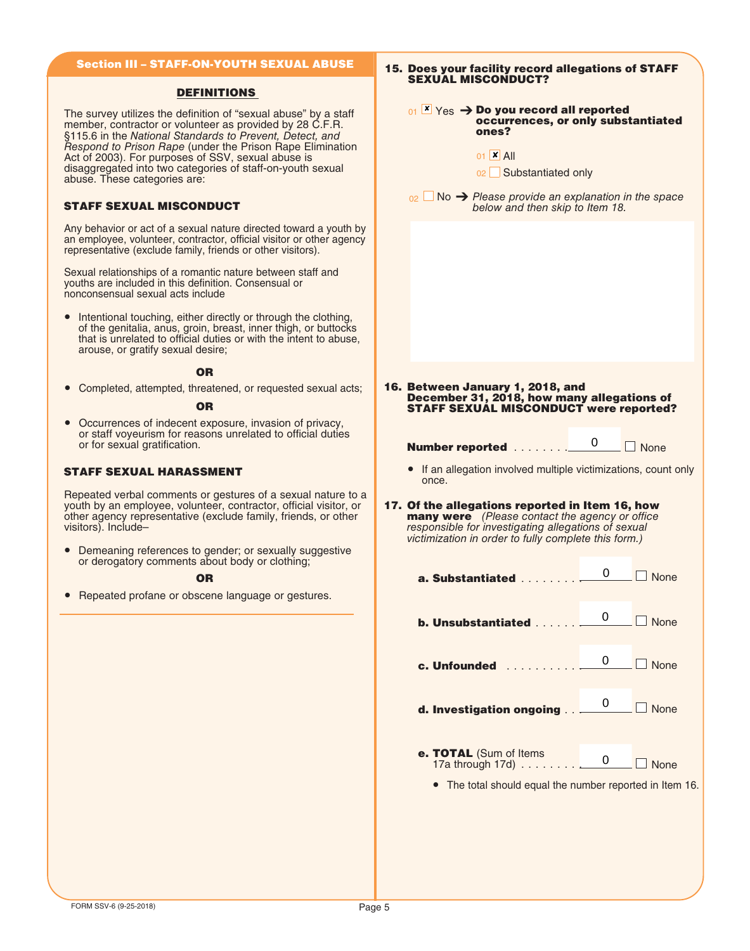# Section III – STAFF-ON-YOUTH SEXUAL ABUSE

#### DEFINITIONS

The survey utilizes the definition of "sexual abuse" by a staff member, contractor or volunteer as provided by 28 C.F.R. §115.6 in the National Standards to Prevent, Detect, and Respond to Prison Rape (under the Prison Rape Elimination Act of 2003). For purposes of SSV, sexual abuse is disaggregated into two categories of staff-on-youth sexual abuse. These categories are:

## STAFF SEXUAL MISCONDUCT

Any behavior or act of a sexual nature directed toward a youth by an employee, volunteer, contractor, official visitor or other agency representative (exclude family, friends or other visitors).

Sexual relationships of a romantic nature between staff and youths are included in this definition. Consensual or nonconsensual sexual acts include

Intentional touching, either directly or through the clothing, of the genitalia, anus, groin, breast, inner thigh, or buttocks that is unrelated to official duties or with the intent to abuse, arouse, or gratify sexual desire;

#### OR

● Completed, attempted, threatened, or requested sexual acts;

#### **OR**

● Occurrences of indecent exposure, invasion of privacy, or staff voyeurism for reasons unrelated to official duties or for sexual gratification.

#### STAFF SEXUAL HARASSMENT

Repeated verbal comments or gestures of a sexual nature to a youth by an employee, volunteer, contractor, official visitor, or other agency representative (exclude family, friends, or other visitors). Include–

● Demeaning references to gender; or sexually suggestive or derogatory comments about body or clothing;

#### OR

● Repeated profane or obscene language or gestures.

| <b>SEXUAL MISCONDUCT?</b>                                                                                                                                                                                               | 15. Does your facility record allegations of STAFF                                                      |              |  |  |  |  |
|-------------------------------------------------------------------------------------------------------------------------------------------------------------------------------------------------------------------------|---------------------------------------------------------------------------------------------------------|--------------|--|--|--|--|
| ones?                                                                                                                                                                                                                   | $_{01}$ $\mathbb{Z}$ Yes $\rightarrow$ Do you record all reported<br>occurrences, or only substantiated |              |  |  |  |  |
| $01 \times$ All<br>02 Substantiated only                                                                                                                                                                                |                                                                                                         |              |  |  |  |  |
| $_{02}$ No $\rightarrow$ Please provide an explanation in the space<br>below and then skip to Item 18.                                                                                                                  |                                                                                                         |              |  |  |  |  |
|                                                                                                                                                                                                                         |                                                                                                         |              |  |  |  |  |
|                                                                                                                                                                                                                         |                                                                                                         |              |  |  |  |  |
|                                                                                                                                                                                                                         |                                                                                                         |              |  |  |  |  |
|                                                                                                                                                                                                                         |                                                                                                         |              |  |  |  |  |
| 16. Between January 1, 2018, and<br>December 31, 2018, how many allegations of                                                                                                                                          |                                                                                                         |              |  |  |  |  |
| <b>STAFF SEXUAL MISCONDUCT were reported?</b>                                                                                                                                                                           |                                                                                                         |              |  |  |  |  |
| <b>Number reported</b>                                                                                                                                                                                                  | 0                                                                                                       | $\n  None\n$ |  |  |  |  |
| • If an allegation involved multiple victimizations, count only<br>once.                                                                                                                                                |                                                                                                         |              |  |  |  |  |
| 17. Of the allegations reported in Item 16, how<br><b>many were</b> (Please contact the agency or office<br>responsible for investigating allegations of sexual<br>victimization in order to fully complete this form.) |                                                                                                         |              |  |  |  |  |
| <b>a. Substantiated</b>                                                                                                                                                                                                 | 0                                                                                                       | None         |  |  |  |  |
| b. Unsubstantiated                                                                                                                                                                                                      | 0                                                                                                       | $\Box$ None  |  |  |  |  |
| c. Unfounded .<br>.                                                                                                                                                                                                     | 0                                                                                                       | $\Box$ None  |  |  |  |  |
| d. Investigation ongoing                                                                                                                                                                                                | 0                                                                                                       | $\Box$ None  |  |  |  |  |
| e. TOTAL (Sum of Items<br>17a through 17d)                                                                                                                                                                              | 0                                                                                                       | $\Box$ None  |  |  |  |  |
| The total should equal the number reported in Item 16.                                                                                                                                                                  |                                                                                                         |              |  |  |  |  |